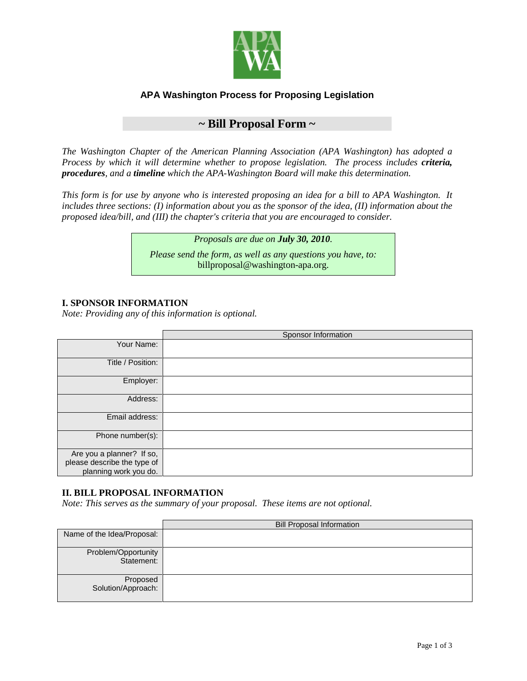

## **APA Washington Process for Proposing Legislation**

# **~ Bill Proposal Form ~**

*The Washington Chapter of the American Planning Association (APA Washington) has adopted a [Process](http://washington-apa.org/documents/LegislationProposalProcess.pdf) by which it will determine whether to propose legislation. The process includes criteria, procedures, and a timeline which the APA-Washington Board will make this determination.*

*This form is for use by anyone who is interested proposing an idea for a bill to APA Washington. It includes three sections: (I) information about you as the sponsor of the idea, (II) information about the proposed idea/bill, and (III) the chapter's criteria that you are encouraged to consider.*

> *Proposals are due on July 30, 2010. Please send the form, as well as any questions you have, to:*  [billproposal@washington-apa.org.](mailto:mbillproposal@washington-apa.org)

#### **I. SPONSOR INFORMATION**

*Note: Providing any of this information is optional.*

|                                                                                   | Sponsor Information |
|-----------------------------------------------------------------------------------|---------------------|
| Your Name:                                                                        |                     |
| Title / Position:                                                                 |                     |
| Employer:                                                                         |                     |
| Address:                                                                          |                     |
| Email address:                                                                    |                     |
| Phone number(s):                                                                  |                     |
| Are you a planner? If so,<br>please describe the type of<br>planning work you do. |                     |

#### **II. BILL PROPOSAL INFORMATION**

*Note: This serves as the summary of your proposal. These items are not optional.*

|                                   | <b>Bill Proposal Information</b> |
|-----------------------------------|----------------------------------|
| Name of the Idea/Proposal:        |                                  |
| Problem/Opportunity<br>Statement: |                                  |
| Proposed<br>Solution/Approach:    |                                  |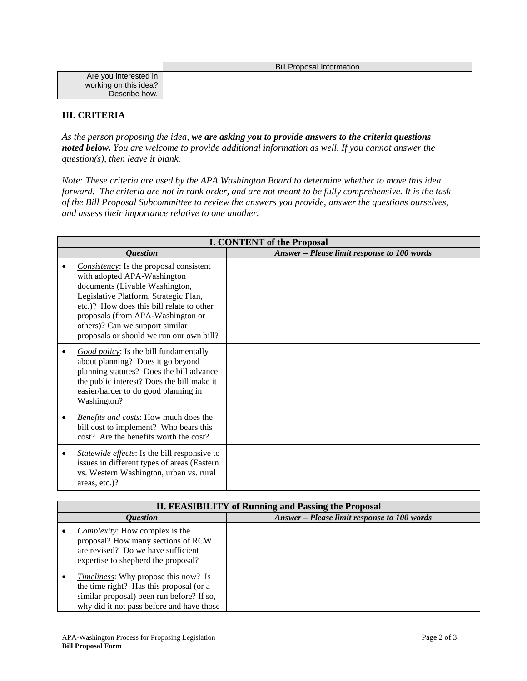|                       | <b>Bill Proposal Information</b> |
|-----------------------|----------------------------------|
| Are you interested in |                                  |
| working on this idea? |                                  |
| Describe how.         |                                  |

### **III. CRITERIA**

*As the person proposing the idea, we are asking you to provide answers to the criteria questions noted below. You are welcome to provide additional information as well. If you cannot answer the question(s), then leave it blank.*

*Note: These criteria are used by the APA Washington Board to determine whether to move this idea forward. The criteria are not in rank order, and are not meant to be fully comprehensive. It is the task of the Bill Proposal Subcommittee to review the answers you provide, answer the questions ourselves, and assess their importance relative to one another.* 

| <b>I. CONTENT of the Proposal</b>                                                                                                                                                                                                                                                                                          |                                             |
|----------------------------------------------------------------------------------------------------------------------------------------------------------------------------------------------------------------------------------------------------------------------------------------------------------------------------|---------------------------------------------|
| <i><b>Ouestion</b></i>                                                                                                                                                                                                                                                                                                     | Answer - Please limit response to 100 words |
| <i>Consistency</i> : Is the proposal consistent<br>with adopted APA-Washington<br>documents (Livable Washington,<br>Legislative Platform, Strategic Plan,<br>etc.)? How does this bill relate to other<br>proposals (from APA-Washington or<br>others)? Can we support similar<br>proposals or should we run our own bill? |                                             |
| Good policy: Is the bill fundamentally<br>about planning? Does it go beyond<br>planning statutes? Does the bill advance<br>the public interest? Does the bill make it<br>easier/harder to do good planning in<br>Washington?                                                                                               |                                             |
| Benefits and costs: How much does the<br>bill cost to implement? Who bears this<br>cost? Are the benefits worth the cost?                                                                                                                                                                                                  |                                             |
| Statewide effects: Is the bill responsive to<br>issues in different types of areas (Eastern<br>vs. Western Washington, urban vs. rural<br>areas, etc.)?                                                                                                                                                                    |                                             |

| <b>II. FEASIBILITY of Running and Passing the Proposal</b>                                                                                                                       |                                             |
|----------------------------------------------------------------------------------------------------------------------------------------------------------------------------------|---------------------------------------------|
| <i><b>Ouestion</b></i>                                                                                                                                                           | Answer - Please limit response to 100 words |
| <i>Complexity:</i> How complex is the<br>proposal? How many sections of RCW<br>are revised? Do we have sufficient<br>expertise to shepherd the proposal?                         |                                             |
| <i>Timeliness:</i> Why propose this now? Is<br>the time right? Has this proposal (or a<br>similar proposal) been run before? If so,<br>why did it not pass before and have those |                                             |